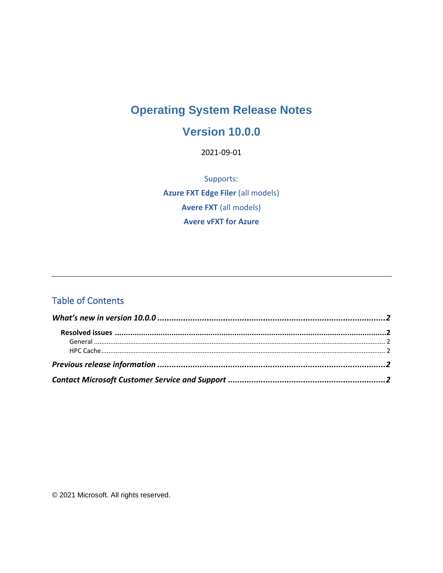# **Operating System Release Notes**

#### **Version 10.0.0**

2021-09-01

Supports: **Azure FXT Edge Filer (all models) Avere FXT (all models) Avere vFXT for Azure** 

#### **Table of Contents**

© 2021 Microsoft. All rights reserved.